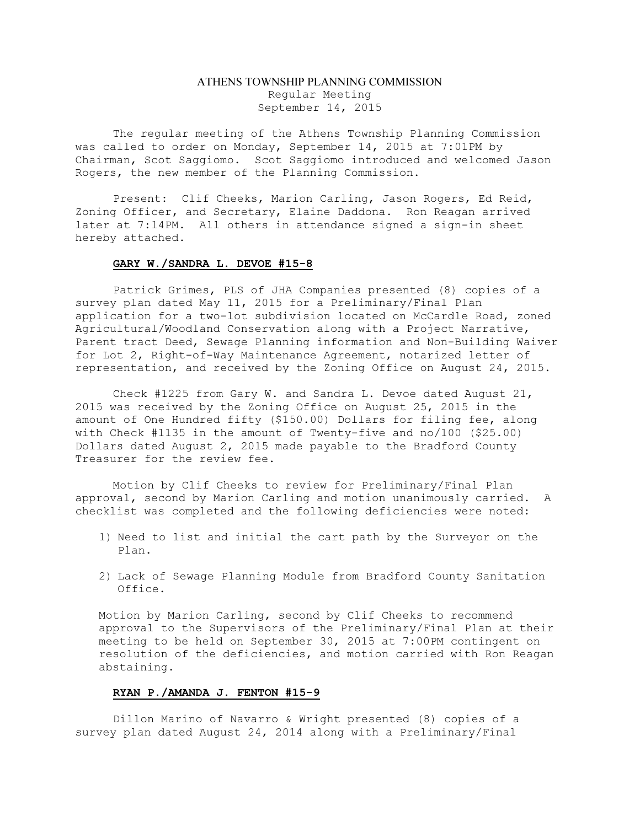# ATHENS TOWNSHIP PLANNING COMMISSION Regular Meeting September 14, 2015

The regular meeting of the Athens Township Planning Commission was called to order on Monday, September 14, 2015 at 7:01PM by Chairman, Scot Saggiomo. Scot Saggiomo introduced and welcomed Jason Rogers, the new member of the Planning Commission.

Present: Clif Cheeks, Marion Carling, Jason Rogers, Ed Reid, Zoning Officer, and Secretary, Elaine Daddona. Ron Reagan arrived later at 7:14PM. All others in attendance signed a sign-in sheet hereby attached.

#### GARY W./SANDRA L. DEVOE #15-8

Patrick Grimes, PLS of JHA Companies presented (8) copies of a survey plan dated May 11, 2015 for a Preliminary/Final Plan application for a two-lot subdivision located on McCardle Road, zoned Agricultural/Woodland Conservation along with a Project Narrative, Parent tract Deed, Sewage Planning information and Non-Building Waiver for Lot 2, Right-of-Way Maintenance Agreement, notarized letter of representation, and received by the Zoning Office on August 24, 2015.

Check #1225 from Gary W. and Sandra L. Devoe dated August 21, 2015 was received by the Zoning Office on August 25, 2015 in the amount of One Hundred fifty (\$150.00) Dollars for filing fee, along with Check #1135 in the amount of Twenty-five and no/100 (\$25.00) Dollars dated August 2, 2015 made payable to the Bradford County Treasurer for the review fee.

Motion by Clif Cheeks to review for Preliminary/Final Plan approval, second by Marion Carling and motion unanimously carried. A checklist was completed and the following deficiencies were noted:

- 1) Need to list and initial the cart path by the Surveyor on the Plan.
- 2) Lack of Sewage Planning Module from Bradford County Sanitation Office.

Motion by Marion Carling, second by Clif Cheeks to recommend approval to the Supervisors of the Preliminary/Final Plan at their meeting to be held on September 30, 2015 at 7:00PM contingent on resolution of the deficiencies, and motion carried with Ron Reagan abstaining.

### RYAN P./AMANDA J. FENTON #15-9

Dillon Marino of Navarro & Wright presented (8) copies of a survey plan dated August 24, 2014 along with a Preliminary/Final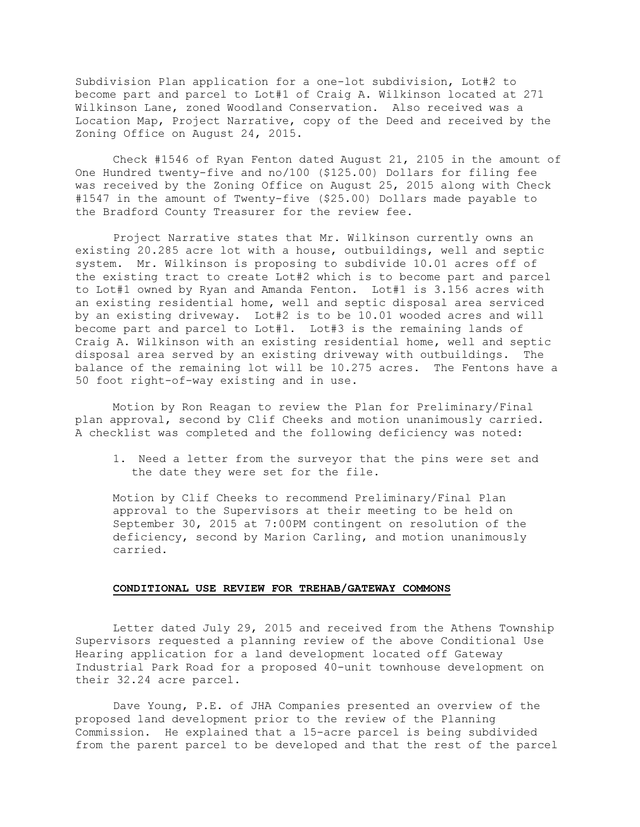Subdivision Plan application for a one-lot subdivision, Lot#2 to become part and parcel to Lot#1 of Craig A. Wilkinson located at 271 Wilkinson Lane, zoned Woodland Conservation. Also received was a Location Map, Project Narrative, copy of the Deed and received by the Zoning Office on August 24, 2015.

Check #1546 of Ryan Fenton dated August 21, 2105 in the amount of One Hundred twenty-five and no/100 (\$125.00) Dollars for filing fee was received by the Zoning Office on August 25, 2015 along with Check #1547 in the amount of Twenty-five (\$25.00) Dollars made payable to the Bradford County Treasurer for the review fee.

Project Narrative states that Mr. Wilkinson currently owns an existing 20.285 acre lot with a house, outbuildings, well and septic system. Mr. Wilkinson is proposing to subdivide 10.01 acres off of the existing tract to create Lot#2 which is to become part and parcel to Lot#1 owned by Ryan and Amanda Fenton. Lot#1 is 3.156 acres with an existing residential home, well and septic disposal area serviced by an existing driveway. Lot#2 is to be 10.01 wooded acres and will become part and parcel to Lot#1. Lot#3 is the remaining lands of Craig A. Wilkinson with an existing residential home, well and septic disposal area served by an existing driveway with outbuildings. The balance of the remaining lot will be 10.275 acres. The Fentons have a 50 foot right-of-way existing and in use.

Motion by Ron Reagan to review the Plan for Preliminary/Final plan approval, second by Clif Cheeks and motion unanimously carried. A checklist was completed and the following deficiency was noted:

1. Need a letter from the surveyor that the pins were set and the date they were set for the file.

Motion by Clif Cheeks to recommend Preliminary/Final Plan approval to the Supervisors at their meeting to be held on September 30, 2015 at 7:00PM contingent on resolution of the deficiency, second by Marion Carling, and motion unanimously carried.

### CONDITIONAL USE REVIEW FOR TREHAB/GATEWAY COMMONS

Letter dated July 29, 2015 and received from the Athens Township Supervisors requested a planning review of the above Conditional Use Hearing application for a land development located off Gateway Industrial Park Road for a proposed 40-unit townhouse development on their 32.24 acre parcel.

Dave Young, P.E. of JHA Companies presented an overview of the proposed land development prior to the review of the Planning Commission. He explained that a 15-acre parcel is being subdivided from the parent parcel to be developed and that the rest of the parcel